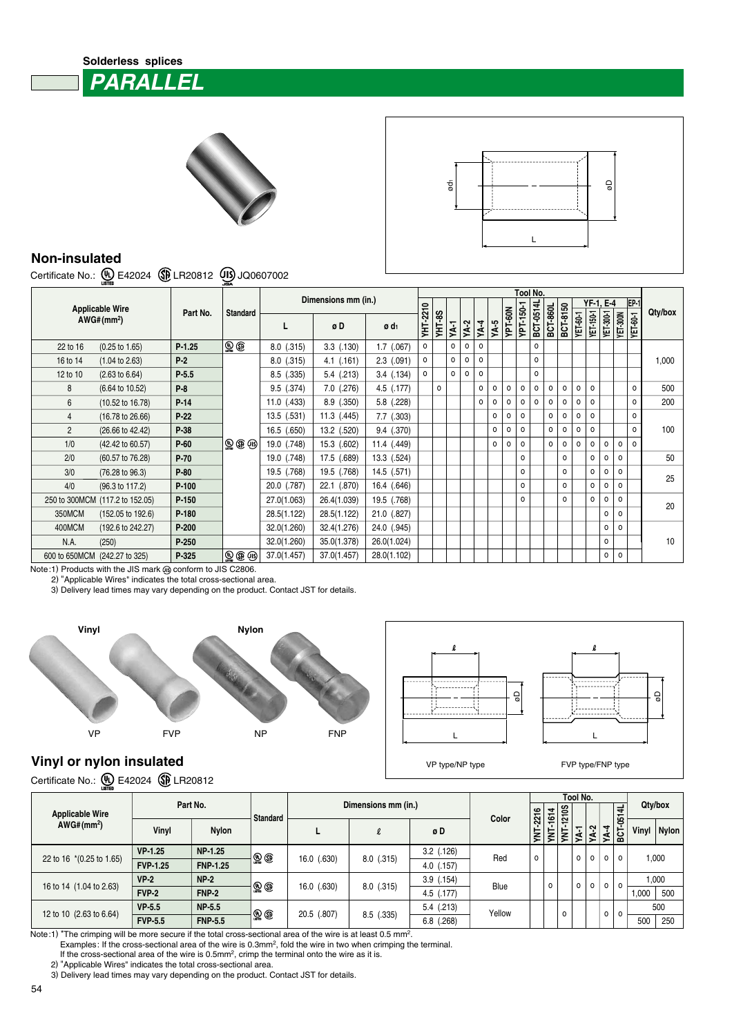## **Solderless splices PARALLEL**





## **Non-insulated**

Certificate No.: (1) E42024 (PLR20812 (1) JQ0607002

| <b>Applicable Wire</b><br>AWG# (mm <sup>2</sup> ) |                                 |          |                                             | Dimensions mm (in.) |                            |                  |          | Tool No.      |         |        |          |         |         |           |           |          |          |          |           |                   |                 |          |         |  |
|---------------------------------------------------|---------------------------------|----------|---------------------------------------------|---------------------|----------------------------|------------------|----------|---------------|---------|--------|----------|---------|---------|-----------|-----------|----------|----------|----------|-----------|-------------------|-----------------|----------|---------|--|
|                                                   |                                 |          |                                             |                     |                            |                  |          |               |         |        |          |         |         |           |           |          |          |          |           | EP-1<br>YF-1, E-4 |                 |          |         |  |
|                                                   |                                 | Part No. | <b>Standard</b>                             | L                   | øD                         | ø d <sub>1</sub> | YHT-2210 | <b>YHT-8S</b> | YA-1    | $YA-2$ | $NA-4$   | YA-5    | YPT-60N | YPT-150-1 | BCT-0514L | BCT-860L | BCT-8150 | YET-60-1 | YET-150-1 | YET-300-1         | <b>YET-300N</b> | YET-60-1 | Qty/box |  |
| 22 to 16                                          | $(0.25 \text{ to } 1.65)$       | $P-1.25$ | $\mathbf{\mathbb{Q}}$ $\mathbf{\mathbb{G}}$ | $8.0$ $(.315)$      | $3.3$ $(.130)$             | $1.7$ (.067)     | $\circ$  |               | $\circ$ | 0      | $\Omega$ |         |         |           | 0         |          |          |          |           |                   |                 |          |         |  |
| 16 to 14                                          | $(1.04 \text{ to } 2.63)$       | $P-2$    |                                             | $8.0$ $(.315)$      | $4.1$ $(.161)$             | $2.3$ $(.091)$   | 0        |               | $\circ$ | 0      | $\circ$  |         |         |           | 0         |          |          |          |           |                   |                 |          | 1,000   |  |
| 12 to 10                                          | $(2.63 \text{ to } 6.64)$       | $P-5.5$  |                                             | $8.5$ $(.335)$      | $5.4$ $(.213)$             | $3.4$ $(.134)$   | $\circ$  |               | $\circ$ | 0      | $\circ$  |         |         |           | $\circ$   |          |          |          |           |                   |                 |          |         |  |
| 8                                                 | (6.64 to 10.52)                 | $P-8$    |                                             | $9.5$ $(.374)$      | $7.0$ $(.276)$             | 4.5 (.177)       |          | $\circ$       |         |        | 0        | 0       | 0       | $\circ$   | 0         | o        | $\circ$  | 0        | $\Omega$  |                   |                 | $\circ$  | 500     |  |
| 6                                                 | $(10.52 \text{ to } 16.78)$     | $P-14$   |                                             | $11.0$ (.433)       | $8.9$ $(.350)$             | $5.8$ $(.228)$   |          |               |         |        | $\circ$  | $\circ$ | $\circ$ | $\Omega$  | $\Omega$  | $\Omega$ | $\Omega$ | $\Omega$ | $\Omega$  |                   |                 | $\Omega$ | 200     |  |
| 4                                                 | $(16.78 \text{ to } 26.66)$     | $P-22$   |                                             | $13.5$ $(.531)$     | $11.3$ $(.445)$            | $7.7$ $(.303)$   |          |               |         |        |          | 0       | o       | $\circ$   |           | o        | $\circ$  | 0        | $\Omega$  |                   |                 | $\circ$  |         |  |
| $\overline{2}$                                    | (26.66 to 42.42)                | P-38     |                                             | 16.5 (.650)         | 13.2 (.520)                | 9.4 (.370)       |          |               |         |        |          | 0       | 0       | $\circ$   |           | o        | $\circ$  | 0        | $\circ$   |                   |                 | $\Omega$ | 100     |  |
| 1/0                                               | (42.42 to 60.57)                | $P-60$   | $\circledR \circledR \circledR$             | 19.0 (.748)         | 15.3 (.602)                | 11.4 (.449)      |          |               |         |        |          | 0       | 0       | $\circ$   |           | o        | $\circ$  | $\circ$  | 0         | 0                 | $\circ$         | $\Omega$ |         |  |
| 2/0                                               | (60.57 to 76.28)                | $P-70$   |                                             | 19.0 (.748)         | 17.5 (.689)                | 13.3 (.524)      |          |               |         |        |          |         |         | $\circ$   |           |          | $\circ$  |          | $\circ$   | $\circ$           | $\Omega$        |          | 50      |  |
| 3/0                                               | (76.28 to 96.3)                 | $P-80$   |                                             | 19.5 (.768)         | 19.5 (.768)                | 14.5 (.571)      |          |               |         |        |          |         |         | $\circ$   |           |          | $\circ$  |          | 0         | $\circ$           | $\circ$         |          | 25      |  |
| 4/0                                               | (96.3 to 117.2)                 | $P-100$  |                                             | 20.0 (.787)         | 22.1 (.870)                | 16.4 (.646)      |          |               |         |        |          |         |         | $\circ$   |           |          | $\circ$  |          | 0         | $\circ$           | $\circ$         |          |         |  |
|                                                   | 250 to 300MCM (117.2 to 152.05) | P-150    |                                             | 27.0(1.063)         | 26.4(1.039)                | 19.5 (.768)      |          |               |         |        |          |         |         | $\Omega$  |           |          | $\Omega$ |          | $\circ$   | $\circ$           | $\Omega$        |          | 20      |  |
| 350MCM                                            | $(152.05 \text{ to } 192.6)$    | P-180    |                                             | 28.5(1.122)         | 28.5(1.122)<br>21.0 (.827) |                  |          |               |         |        |          |         |         |           |           |          | $\circ$  | $\Omega$ |           |                   |                 |          |         |  |
| 400MCM                                            | (192.6 to 242.27)               | P-200    |                                             | 32.0(1.260)         | 32.4(1.276)                | 24.0 (.945)      |          |               |         |        |          |         |         |           |           |          |          |          |           | o                 | $\Omega$        |          |         |  |
| N.A.                                              | (250)                           | $P-250$  |                                             | 32.0(1.260)         | 35.0(1.378)                | 26.0(1.024)      |          |               |         |        |          |         |         |           |           |          |          |          |           | $\circ$           |                 |          | 10      |  |
| 600 to 650MCM                                     | (242.27 to 325)                 | P-325    |                                             | 37.0(1.457)         | 37.0(1.457)                | 28.0(1.102)      |          |               |         |        |          |         |         |           |           |          |          |          |           | $\circ$           | $\circ$         |          |         |  |

Note:1) Products with the JIS mark  $\circledR$  conform to JIS C2806.

2) "Applicable Wires" indicates the total cross-sectional area.

3) Delivery lead times may vary depending on the product. Contact JST for details.





## **Vinyl or nylon insulated**

Certificate No.: 4 E42024 **B** LR20812

| -----                    |                 |                 |                            |             |                     |                |        |                 |        |          |         |         |                   |          |       |       |  |  |
|--------------------------|-----------------|-----------------|----------------------------|-------------|---------------------|----------------|--------|-----------------|--------|----------|---------|---------|-------------------|----------|-------|-------|--|--|
| <b>Applicable Wire</b>   |                 | Part No.        | <b>Standard</b>            |             | Dimensions mm (in.) | Color          |        | $\overline{4}$  | 1210S  | Tool No. |         |         | $\overline{a}$    | Qty/box  |       |       |  |  |
| AWG#(mm <sup>2</sup> )   | Vinyl           | <b>Nylon</b>    |                            |             | $\ell$              | øD             |        | <b>YNT-2216</b> | ۽<br>ξ | YNT-     | YA-1    | $YA-2$  | $\overline{YA-4}$ | BCT-0514 | Vinyl | Nylon |  |  |
|                          | VP-1.25         | NP-1.25         | $\mathbb{Q}$ $\circledast$ | 16.0 (.630) |                     | $3.2$ $(.126)$ | Red    | $\circ$         |        |          | $\circ$ | $\circ$ | $\circ$           | $\circ$  | 1,000 |       |  |  |
| 22 to 16 *(0.25 to 1.65) | <b>FVP-1.25</b> | <b>FNP-1.25</b> |                            |             | $8.0$ $(.315)$      | (.157)<br>4.0  |        |                 |        |          |         |         |                   |          |       |       |  |  |
|                          | $VP-2$          | $NP-2$          |                            |             |                     | $3.9$ $(.154)$ | Blue   |                 | o      |          | $\circ$ | $\circ$ | $\circ$           | $\circ$  | 1,000 |       |  |  |
| 16 to 14 (1.04 to 2.63)  | <b>FVP-2</b>    | <b>FNP-2</b>    | $\mathbb{Q} \mathbb{G}$    | 16.0 (.630) | $8.0$ $(.315)$      | 4.5 (.177)     |        |                 |        |          |         |         |                   |          | 1,000 | 500   |  |  |
|                          | $VP-5.5$        | <b>NP-5.5</b>   |                            | 20.5 (.807) |                     | $5.4$ $(.213)$ | Yellow |                 |        | $\Omega$ |         |         | 0                 | 0        | 500   |       |  |  |
| 12 to 10 (2.63 to 6.64)  | <b>FVP-5.5</b>  | <b>FNP-5.5</b>  | $\mathcal{P}$              |             | $8.5$ $(.335)$      | (.268)<br>6.8  |        |                 |        |          |         |         |                   |          | 500   | 250   |  |  |

Note:1) \*The crimping will be more secure if the total cross-sectional area of the wire is at least 0.5 mm<sup>2</sup>.

Examples: If the cross-sectional area of the wire is 0.3mm<sup>2</sup>, fold the wire in two when crimping the terminal.

If the cross-sectional area of the wire is 0.5mm<sup>2</sup>, crimp the terminal onto the wire as it is.

2) "Applicable Wires" indicates the total cross-sectional area.

3) Delivery lead times may vary depending on the product. Contact JST for details.